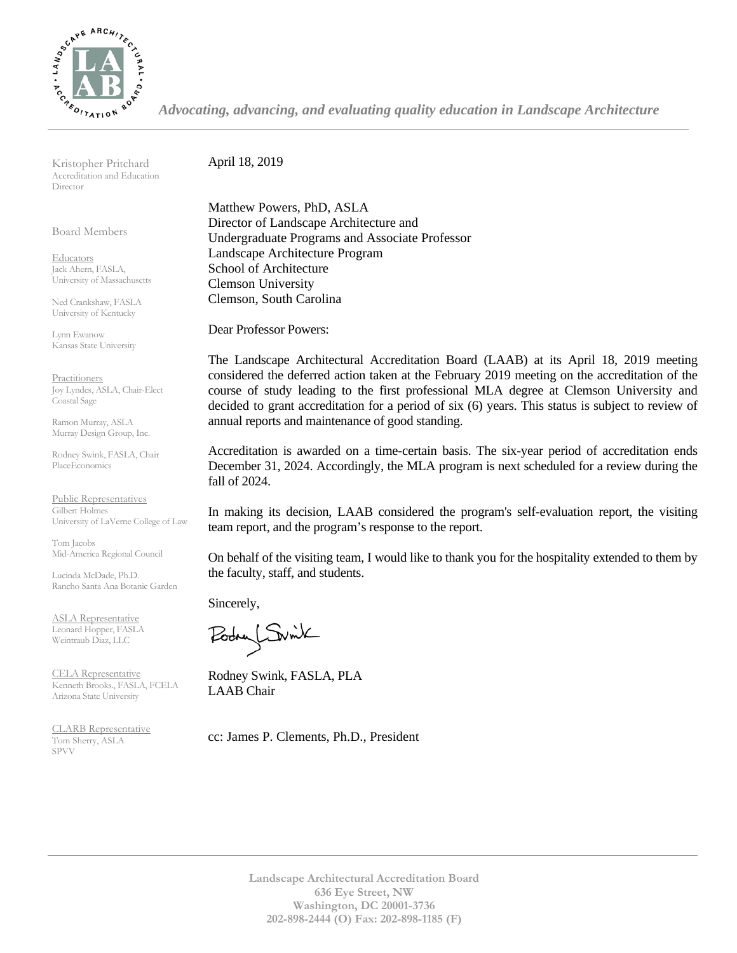

*Advocating, advancing, and evaluating quality education in Landscape Architecture*

Kristopher Pritchard Accreditation and Education Director

Board Members

**Educators** Jack Ahern, FASLA, University of Massachusetts

Ned Crankshaw, FASLA University of Kentucky

Lynn Ewanow Kansas State University

**Practitioners** Joy Lyndes, ASLA, Chair-Elect Coastal Sage

Ramon Murray, ASLA Murray Design Group, Inc.

Rodney Swink, FASLA, Chair PlaceEconomics

Public Representatives Gilbert Holmes University of LaVerne College of Law

Tom Jacobs Mid-America Regional Council

Lucinda McDade, Ph.D. Rancho Santa Ana Botanic Garden

ASLA Representative Leonard Hopper, FASLA Weintraub Diaz, LLC

CELA Representative Kenneth Brooks., FASLA, FCELA Arizona State University

CLARB Representative Tom Sherry, ASLA SPVV Landscape of the set of the set of the set of the set of the set of the set of the set of the set of the set of the set of the set of the set of the set of the set of the set of the set of the set of the set of the se

April 18, 2019

Matthew Powers, PhD, ASLA Director of Landscape Architecture and Undergraduate Programs and Associate Professor Landscape Architecture Program School of Architecture Clemson University Clemson, South Carolina

Dear Professor Powers:

The Landscape Architectural Accreditation Board (LAAB) at its April 18, 2019 meeting considered the deferred action taken at the February 2019 meeting on the accreditation of the course of study leading to the first professional MLA degree at Clemson University and decided to grant accreditation for a period of six (6) years. This status is subject to review of annual reports and maintenance of good standing.

Accreditation is awarded on a time-certain basis. The six-year period of accreditation ends December 31, 2024. Accordingly, the MLA program is next scheduled for a review during the fall of 2024.

In making its decision, LAAB considered the program's self-evaluation report, the visiting team report, and the program's response to the report.

On behalf of the visiting team, I would like to thank you for the hospitality extended to them by the faculty, staff, and students.

Sincerely,

Podry Switch

Rodney Swink, FASLA, PLA LAAB Chair

cc: James P. Clements, Ph.D., President